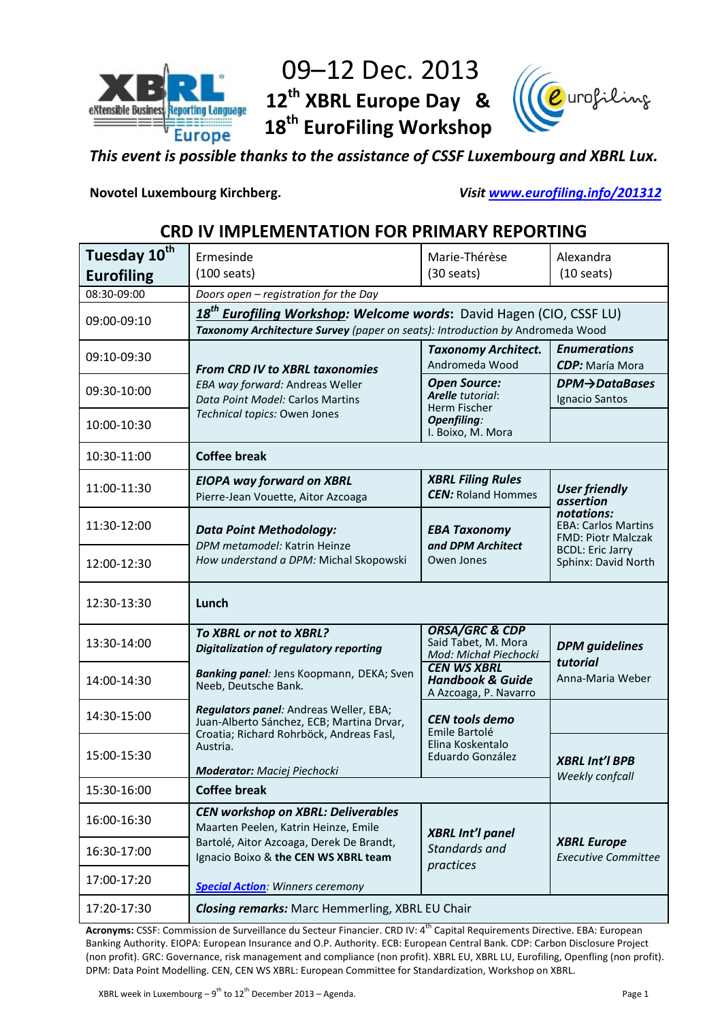

# 09–12 Dec. 2013 **12th XBRL Europe Day & 18th EuroFiling Workshop**



*This event is possible thanks to the assistance of CSSF Luxembourg and XBRL Lux.*

**Novotel Luxembourg Kirchberg.** *Visit [www.eurofiling.info/201312](http://www.eurofiling.info/201312)*

## **CRD IV IMPLEMENTATION FOR PRIMARY REPORTING**

| Tuesday 10 <sup>th</sup> | Ermesinde                                                                                                                                                        | Marie-Thérèse                                                                                      | Alexandra                                                             |
|--------------------------|------------------------------------------------------------------------------------------------------------------------------------------------------------------|----------------------------------------------------------------------------------------------------|-----------------------------------------------------------------------|
| <b>Eurofiling</b>        | $(100 \text{ seats})$                                                                                                                                            | $(30 \text{ seats})$                                                                               | $(10 \text{ seats})$                                                  |
| 08:30-09:00              | Doors open - registration for the Day                                                                                                                            |                                                                                                    |                                                                       |
| 09:00-09:10              | 18 <sup>th</sup> Eurofiling Workshop: Welcome words: David Hagen (CIO, CSSF LU)<br>Taxonomy Architecture Survey (paper on seats): Introduction by Andromeda Wood |                                                                                                    |                                                                       |
| 09:10-09:30              | <b>From CRD IV to XBRL taxonomies</b>                                                                                                                            | <b>Taxonomy Architect.</b><br>Andromeda Wood                                                       | <b>Enumerations</b><br><b>CDP:</b> María Mora                         |
| 09:30-10:00              | EBA way forward: Andreas Weller<br>Data Point Model: Carlos Martins                                                                                              | <b>Open Source:</b><br>Arelle tutorial:<br>Herm Fischer<br><b>Openfiling:</b><br>I. Boixo, M. Mora | $DPM \rightarrow$ DataBases<br>Ignacio Santos                         |
| 10:00-10:30              | Technical topics: Owen Jones                                                                                                                                     |                                                                                                    |                                                                       |
| 10:30-11:00              | <b>Coffee break</b>                                                                                                                                              |                                                                                                    |                                                                       |
| 11:00-11:30              | <b>EIOPA way forward on XBRL</b><br>Pierre-Jean Vouette, Aitor Azcoaga                                                                                           | <b>XBRL Filing Rules</b><br><b>CEN:</b> Roland Hommes                                              | <b>User friendly</b><br>assertion                                     |
| 11:30-12:00              | <b>Data Point Methodology:</b><br>DPM metamodel: Katrin Heinze                                                                                                   | <b>EBA Taxonomy</b><br>and DPM Architect                                                           | notations:<br><b>EBA: Carlos Martins</b><br><b>FMD: Piotr Malczak</b> |
| 12:00-12:30              | How understand a DPM: Michal Skopowski                                                                                                                           | Owen Jones                                                                                         | <b>BCDL: Eric Jarry</b><br>Sphinx: David North                        |
| 12:30-13:30              | Lunch                                                                                                                                                            |                                                                                                    |                                                                       |
| 13:30-14:00              | To XBRL or not to XBRL?<br><b>Digitalization of regulatory reporting</b>                                                                                         | <b>ORSA/GRC &amp; CDP</b><br>Said Tabet, M. Mora<br>Mod: Michał Piechocki                          | <b>DPM</b> guidelines                                                 |
| 14:00-14:30              | Banking panel: Jens Koopmann, DEKA; Sven<br>Neeb, Deutsche Bank.                                                                                                 | <b>CEN WS XBRL</b><br><b>Handbook &amp; Guide</b><br>A Azcoaga, P. Navarro                         | tutorial<br>Anna-Maria Weber                                          |
| 14:30-15:00              | Regulators panel: Andreas Weller, EBA;<br>Juan-Alberto Sánchez, ECB; Martina Drvar,<br>Croatia; Richard Rohrböck, Andreas Fasl,                                  | <b>CEN tools demo</b><br>Emile Bartolé<br>Elina Koskentalo<br>Eduardo González                     |                                                                       |
| 15:00-15:30              | Austria.<br><b>Moderator:</b> Maciej Piechocki                                                                                                                   |                                                                                                    | <b>XBRL Int'l BPB</b>                                                 |
| 15:30-16:00              | Weekly confcall<br><b>Coffee break</b>                                                                                                                           |                                                                                                    |                                                                       |
| 16:00-16:30              | <b>CEN workshop on XBRL: Deliverables</b><br>Maarten Peelen, Katrin Heinze, Emile                                                                                | <b>XBRL Int'l panel</b>                                                                            |                                                                       |
| 16:30-17:00              | Bartolé, Aitor Azcoaga, Derek De Brandt,<br>Ignacio Boixo & the CEN WS XBRL team                                                                                 | Standards and<br>practices                                                                         | <b>XBRL Europe</b><br><b>Executive Committee</b>                      |
| 17:00-17:20              | <b>Special Action:</b> Winners ceremony                                                                                                                          |                                                                                                    |                                                                       |
| 17:20-17:30              | <b>Closing remarks:</b> Marc Hemmerling, XBRL EU Chair                                                                                                           |                                                                                                    |                                                                       |

Acronyms: CSSF: Commission de Surveillance du Secteur Financier. CRD IV: 4<sup>th</sup> Capital Requirements Directive. EBA: European Banking Authority. EIOPA: European Insurance and O.P. Authority. ECB: European Central Bank. CDP: Carbon Disclosure Project (non profit). GRC: Governance, risk management and compliance (non profit). XBRL EU, XBRL LU, Eurofiling, Openfling (non profit). DPM: Data Point Modelling. CEN, CEN WS XBRL: European Committee for Standardization, Workshop on XBRL.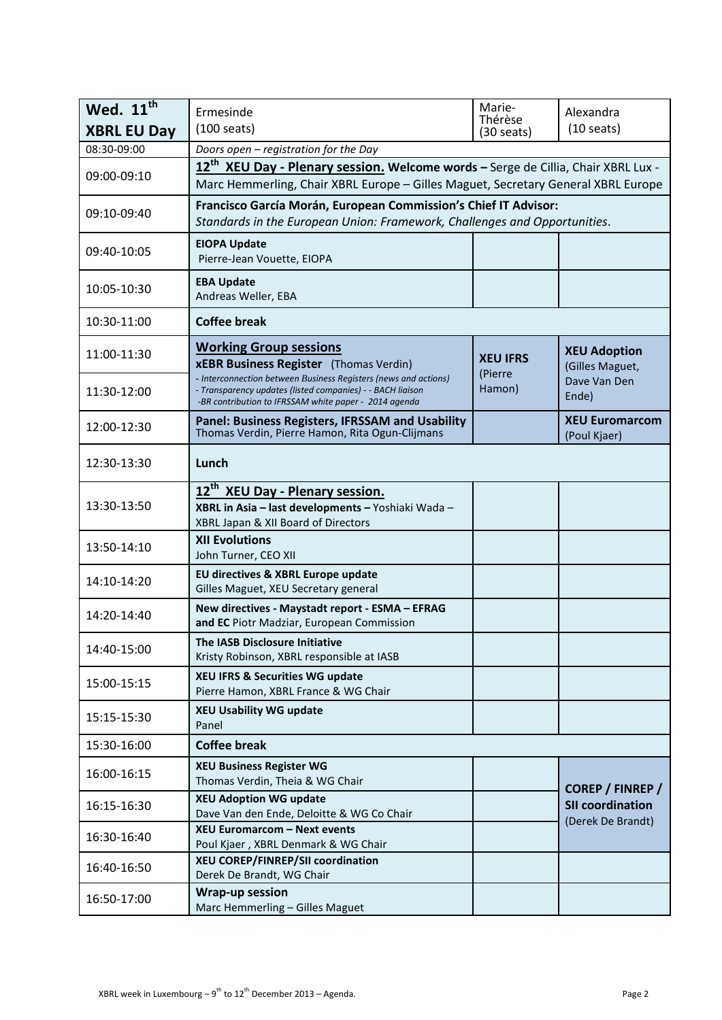| Wed. 11 <sup>th</sup><br><b>XBRL EU Day</b> | Ermesinde<br>$(100 \text{ seats})$                                                                                                                                                 | Marie-<br>Thérèse<br>$(30 \text{ seats})$ | Alexandra<br>$(10 \text{ seats})$                      |
|---------------------------------------------|------------------------------------------------------------------------------------------------------------------------------------------------------------------------------------|-------------------------------------------|--------------------------------------------------------|
| 08:30-09:00                                 | Doors open - registration for the Day                                                                                                                                              |                                           |                                                        |
| 09:00-09:10                                 | 12 <sup>th</sup> XEU Day - Plenary session. Welcome words - Serge de Cillia, Chair XBRL Lux -<br>Marc Hemmerling, Chair XBRL Europe - Gilles Maguet, Secretary General XBRL Europe |                                           |                                                        |
| 09:10-09:40                                 | Francisco García Morán, European Commission's Chief IT Advisor:<br>Standards in the European Union: Framework, Challenges and Opportunities.                                       |                                           |                                                        |
| 09:40-10:05                                 | <b>EIOPA Update</b><br>Pierre-Jean Vouette, EIOPA                                                                                                                                  |                                           |                                                        |
| 10:05-10:30                                 | <b>EBA Update</b><br>Andreas Weller, EBA                                                                                                                                           |                                           |                                                        |
| 10:30-11:00                                 | <b>Coffee break</b>                                                                                                                                                                |                                           |                                                        |
| 11:00-11:30                                 | <b>Working Group sessions</b><br><b>xEBR Business Register</b> (Thomas Verdin)<br>- Interconnection between Business Registers (news and actions)                                  | <b>XEU IFRS</b><br>(Pierre                | <b>XEU Adoption</b><br>(Gilles Maguet,<br>Dave Van Den |
| 11:30-12:00                                 | - Transparency updates (listed companies) - - BACH liaison<br>-BR contribution to IFRSSAM white paper - 2014 agenda                                                                | Hamon)                                    | Ende)                                                  |
| 12:00-12:30                                 | Panel: Business Registers, IFRSSAM and Usability<br>Thomas Verdin, Pierre Hamon, Rita Ogun-Clijmans                                                                                |                                           | <b>XEU Euromarcom</b><br>(Poul Kjaer)                  |
| 12:30-13:30                                 | Lunch                                                                                                                                                                              |                                           |                                                        |
| 13:30-13:50                                 | 12 <sup>th</sup> XEU Day - Plenary session.<br>XBRL in Asia - last developments - Yoshiaki Wada -<br>XBRL Japan & XII Board of Directors                                           |                                           |                                                        |
| 13:50-14:10                                 | <b>XII Evolutions</b><br>John Turner, CEO XII                                                                                                                                      |                                           |                                                        |
| 14:10-14:20                                 | EU directives & XBRL Europe update<br>Gilles Maguet, XEU Secretary general                                                                                                         |                                           |                                                        |
| 14:20-14:40                                 | New directives - Maystadt report - ESMA - EFRAG<br>and EC Piotr Madziar, European Commission                                                                                       |                                           |                                                        |
| 14:40-15:00                                 | <b>The IASB Disclosure Initiative</b><br>Kristy Robinson, XBRL responsible at IASB                                                                                                 |                                           |                                                        |
| 15:00-15:15                                 | <b>XEU IFRS &amp; Securities WG update</b><br>Pierre Hamon, XBRL France & WG Chair                                                                                                 |                                           |                                                        |
| 15:15-15:30                                 | <b>XEU Usability WG update</b><br>Panel                                                                                                                                            |                                           |                                                        |
| 15:30-16:00                                 | <b>Coffee break</b>                                                                                                                                                                |                                           |                                                        |
| 16:00-16:15                                 | <b>XEU Business Register WG</b><br>Thomas Verdin, Theia & WG Chair                                                                                                                 |                                           | COREP / FINREP /                                       |
| 16:15-16:30                                 | <b>XEU Adoption WG update</b><br>Dave Van den Ende, Deloitte & WG Co Chair                                                                                                         |                                           | <b>SII coordination</b><br>(Derek De Brandt)           |
| 16:30-16:40                                 | <b>XEU Euromarcom - Next events</b><br>Poul Kjaer, XBRL Denmark & WG Chair                                                                                                         |                                           |                                                        |
| 16:40-16:50                                 | XEU COREP/FINREP/SII coordination<br>Derek De Brandt, WG Chair                                                                                                                     |                                           |                                                        |
| 16:50-17:00                                 | <b>Wrap-up session</b><br>Marc Hemmerling - Gilles Maguet                                                                                                                          |                                           |                                                        |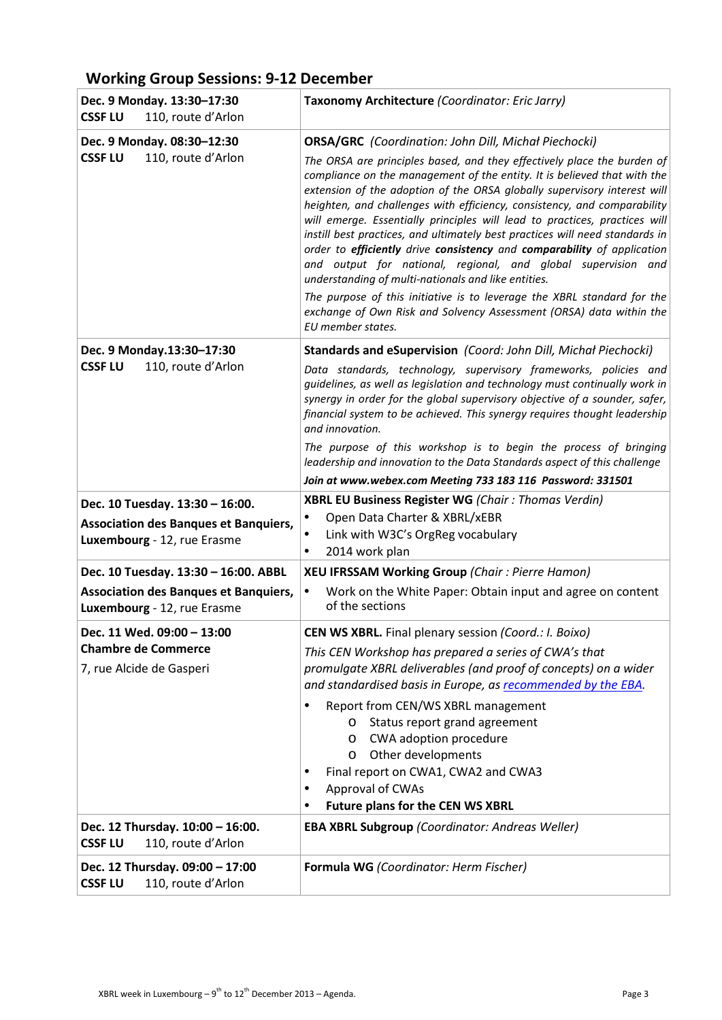# **Working Group Sessions: 9-12 December**

| Dec. 9 Monday. 13:30-17:30<br><b>CSSF LU</b><br>110, route d'Arlon          | Taxonomy Architecture (Coordinator: Eric Jarry)                                                                                                                                                                                                                                                                                                                                                                                                                                                                                                                                                                                                                              |
|-----------------------------------------------------------------------------|------------------------------------------------------------------------------------------------------------------------------------------------------------------------------------------------------------------------------------------------------------------------------------------------------------------------------------------------------------------------------------------------------------------------------------------------------------------------------------------------------------------------------------------------------------------------------------------------------------------------------------------------------------------------------|
| Dec. 9 Monday. 08:30-12:30                                                  | <b>ORSA/GRC</b> (Coordination: John Dill, Michał Piechocki)                                                                                                                                                                                                                                                                                                                                                                                                                                                                                                                                                                                                                  |
| <b>CSSF LU</b><br>110, route d'Arlon                                        | The ORSA are principles based, and they effectively place the burden of<br>compliance on the management of the entity. It is believed that with the<br>extension of the adoption of the ORSA globally supervisory interest will<br>heighten, and challenges with efficiency, consistency, and comparability<br>will emerge. Essentially principles will lead to practices, practices will<br>instill best practices, and ultimately best practices will need standards in<br>order to efficiently drive consistency and comparability of application<br>and output for national, regional, and global supervision and<br>understanding of multi-nationals and like entities. |
|                                                                             | The purpose of this initiative is to leverage the XBRL standard for the<br>exchange of Own Risk and Solvency Assessment (ORSA) data within the<br>EU member states.                                                                                                                                                                                                                                                                                                                                                                                                                                                                                                          |
| Dec. 9 Monday.13:30-17:30                                                   | Standards and eSupervision (Coord: John Dill, Michał Piechocki)                                                                                                                                                                                                                                                                                                                                                                                                                                                                                                                                                                                                              |
| <b>CSSF LU</b><br>110, route d'Arlon                                        | Data standards, technology, supervisory frameworks, policies and<br>guidelines, as well as legislation and technology must continually work in<br>synergy in order for the global supervisory objective of a sounder, safer,<br>financial system to be achieved. This synergy requires thought leadership<br>and innovation.                                                                                                                                                                                                                                                                                                                                                 |
|                                                                             | The purpose of this workshop is to begin the process of bringing<br>leadership and innovation to the Data Standards aspect of this challenge                                                                                                                                                                                                                                                                                                                                                                                                                                                                                                                                 |
|                                                                             | Join at www.webex.com Meeting 733 183 116 Password: 331501                                                                                                                                                                                                                                                                                                                                                                                                                                                                                                                                                                                                                   |
| Dec. 10 Tuesday. 13:30 - 16:00.                                             | XBRL EU Business Register WG (Chair: Thomas Verdin)                                                                                                                                                                                                                                                                                                                                                                                                                                                                                                                                                                                                                          |
| <b>Association des Banques et Banquiers,</b>                                | Open Data Charter & XBRL/xEBR<br>$\bullet$<br>Link with W3C's OrgReg vocabulary<br>٠                                                                                                                                                                                                                                                                                                                                                                                                                                                                                                                                                                                         |
| Luxembourg - 12, rue Erasme                                                 | 2014 work plan                                                                                                                                                                                                                                                                                                                                                                                                                                                                                                                                                                                                                                                               |
| Dec. 10 Tuesday. 13:30 - 16:00. ABBL                                        | <b>XEU IFRSSAM Working Group (Chair: Pierre Hamon)</b>                                                                                                                                                                                                                                                                                                                                                                                                                                                                                                                                                                                                                       |
| <b>Association des Banques et Banquiers,</b><br>Luxembourg - 12, rue Erasme | Work on the White Paper: Obtain input and agree on content<br>$\bullet$<br>of the sections                                                                                                                                                                                                                                                                                                                                                                                                                                                                                                                                                                                   |
| Dec. 11 Wed. 09:00 - 13:00                                                  | <b>CEN WS XBRL.</b> Final plenary session (Coord.: I. Boixo)                                                                                                                                                                                                                                                                                                                                                                                                                                                                                                                                                                                                                 |
| <b>Chambre de Commerce</b><br>7, rue Alcide de Gasperi                      | This CEN Workshop has prepared a series of CWA's that<br>promulgate XBRL deliverables (and proof of concepts) on a wider<br>and standardised basis in Europe, as recommended by the EBA.                                                                                                                                                                                                                                                                                                                                                                                                                                                                                     |
|                                                                             | Report from CEN/WS XBRL management<br>٠<br>Status report grand agreement<br>$\circ$<br>CWA adoption procedure<br>O<br>Other developments<br>$\circ$<br>Final report on CWA1, CWA2 and CWA3<br>Approval of CWAs<br>٠<br><b>Future plans for the CEN WS XBRL</b><br>٠                                                                                                                                                                                                                                                                                                                                                                                                          |
| Dec. 12 Thursday. 10:00 - 16:00.<br>110, route d'Arlon<br><b>CSSF LU</b>    | <b>EBA XBRL Subgroup (Coordinator: Andreas Weller)</b>                                                                                                                                                                                                                                                                                                                                                                                                                                                                                                                                                                                                                       |
| Dec. 12 Thursday. 09:00 - 17:00<br>110, route d'Arlon<br><b>CSSF LU</b>     | Formula WG (Coordinator: Herm Fischer)                                                                                                                                                                                                                                                                                                                                                                                                                                                                                                                                                                                                                                       |